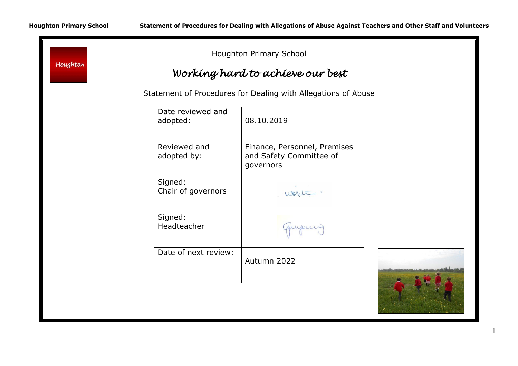| Houghton Primary School<br>Houghton<br>Working hard to achieve our best<br>Statement of Procedures for Dealing with Allegations of Abuse |                               |                                                                      |  |
|------------------------------------------------------------------------------------------------------------------------------------------|-------------------------------|----------------------------------------------------------------------|--|
|                                                                                                                                          | Date reviewed and<br>adopted: | 08.10.2019                                                           |  |
|                                                                                                                                          | Reviewed and<br>adopted by:   | Finance, Personnel, Premises<br>and Safety Committee of<br>governors |  |
|                                                                                                                                          | Signed:<br>Chair of governors | wont.                                                                |  |
|                                                                                                                                          | Signed:<br>Headteacher        | quipuis                                                              |  |
|                                                                                                                                          | Date of next review:          | Autumn 2022                                                          |  |
|                                                                                                                                          |                               |                                                                      |  |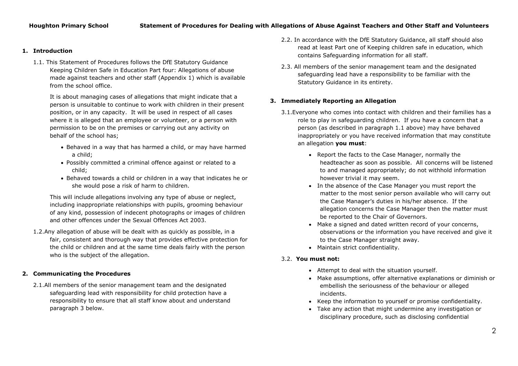## **Houghton Primary School Statement of Procedures for Dealing with Allegations of Abuse Against Teachers and Other Staff and Volunteers**

## **1. Introduction**

1.1. This Statement of Procedures follows the DfE Statutory Guidance [Keeping Children Safe in Education Part four: Allegations of abuse](https://assets.publishing.service.gov.uk/government/uploads/system/uploads/attachment_data/file/835733/Keeping_children_safe_in_education_2019.pdf)  [made against teachers and other staff \(Appendix 1\) w](https://assets.publishing.service.gov.uk/government/uploads/system/uploads/attachment_data/file/835733/Keeping_children_safe_in_education_2019.pdf)hich is available from the school office.

It is about managing cases of allegations that might indicate that a person is unsuitable to continue to work with children in their present position, or in any capacity. It will be used in respect of all cases where it is alleged that an employee or volunteer, or a person with permission to be on the premises or carrying out any activity on behalf of the school has;

- Behaved in a way that has harmed a child, or may have harmed a child;
- Possibly committed a criminal offence against or related to a child;
- Behaved towards a child or children in a way that indicates he or she would pose a risk of harm to children.

This will include allegations involving any type of abuse or neglect, including inappropriate relationships with pupils, grooming behaviour of any kind, possession of indecent photographs or images of children and other offences under the Sexual Offences Act 2003.

1.2.Any allegation of abuse will be dealt with as quickly as possible, in a fair, consistent and thorough way that provides effective protection for the child or children and at the same time deals fairly with the person who is the subject of the allegation.

## **2. Communicating the Procedures**

2.1.All members of the senior management team and the designated safeguarding lead with responsibility for child protection have a responsibility to ensure that all staff know about and understand paragraph 3 below.

- 2.2. In accordance with the DfE Statutory Guidance, all staff should also read at least Part one of Keeping children safe in education, which contains Safeguarding information for all staff.
- 2.3. All members of the senior management team and the designated safeguarding lead have a responsibility to be familiar with the Statutory Guidance in its entirety.

## **3. Immediately Reporting an Allegation**

- 3.1.Everyone who comes into contact with children and their families has a role to play in safeguarding children. If you have a concern that a person (as described in paragraph 1.1 above) may have behaved inappropriately or you have received information that may constitute an allegation **you must**:
	- Report the facts to the Case Manager, normally the headteacher as soon as possible. All concerns will be listened to and managed appropriately; do not withhold information however trivial it may seem.
	- In the absence of the Case Manager you must report the matter to the most senior person available who will carry out the Case Manager's duties in his/her absence. If the allegation concerns the Case Manager then the matter must be reported to the Chair of Governors.
	- Make a signed and dated written record of your concerns, observations or the information you have received and give it to the Case Manager straight away.
	- Maintain strict confidentiality.

### 3.2. **You must not:**

- Attempt to deal with the situation yourself.
- Make assumptions, offer alternative explanations or diminish or embellish the seriousness of the behaviour or alleged incidents.
- Keep the information to yourself or promise confidentiality.
- Take any action that might undermine any investigation or disciplinary procedure, such as disclosing confidential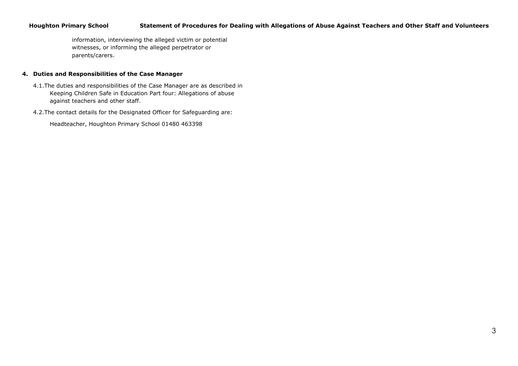## **Houghton Primary School Statement of Procedures for Dealing with Allegations of Abuse Against Teachers and Other Staff and Volunteers**

information, interviewing the alleged victim or potential witnesses, or informing the alleged perpetrator or parents/carers.

## **4. Duties and Responsibilities of the Case Manager**

- 4.1.The duties and responsibilities of the Case Manager are as described in Keeping Children Safe in Education Part four: Allegations of abuse against teachers and other staff.
- 4.2.The contact details for the Designated Officer for Safeguarding are:

Headteacher, Houghton Primary School 01480 463398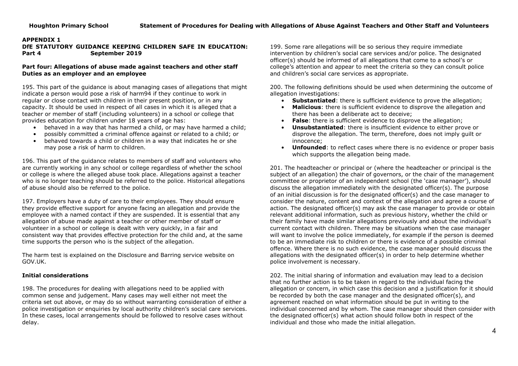#### **APPENDIX 1**

**DfE STATUTORY GUIDANCE KEEPING CHILDREN SAFE IN EDUCATION: Part 4 September 2019**

#### **Part four: Allegations of abuse made against teachers and other staff Duties as an employer and an employee**

195. This part of the guidance is about managing cases of allegations that might indicate a person would pose a risk of harm94 if they continue to work in regular or close contact with children in their present position, or in any capacity. It should be used in respect of all cases in which it is alleged that a teacher or member of staff (including volunteers) in a school or college that provides education for children under 18 years of age has:

- behaved in a way that has harmed a child, or may have harmed a child;
- possibly committed a criminal offence against or related to a child; or
- behaved towards a child or children in a way that indicates he or she may pose a risk of harm to children.

196. This part of the guidance relates to members of staff and volunteers who are currently working in any school or college regardless of whether the school or college is where the alleged abuse took place. Allegations against a teacher who is no longer teaching should be referred to the police. Historical allegations of abuse should also be referred to the police.

197. Employers have a duty of care to their employees. They should ensure they provide effective support for anyone facing an allegation and provide the employee with a named contact if they are suspended. It is essential that any allegation of abuse made against a teacher or other member of staff or volunteer in a school or college is dealt with very quickly, in a fair and consistent way that provides effective protection for the child and, at the same time supports the person who is the subject of the allegation.

The harm test is explained on the Disclosure and Barring service website on GOV.UK.

#### **Initial considerations**

198. The procedures for dealing with allegations need to be applied with common sense and judgement. Many cases may well either not meet the criteria set out above, or may do so without warranting consideration of either a police investigation or enquiries by local authority children's social care services. In these cases, local arrangements should be followed to resolve cases without delay.

199. Some rare allegations will be so serious they require immediate intervention by children's social care services and/or police. The designated officer(s) should be informed of all allegations that come to a school's or college's attention and appear to meet the criteria so they can consult police and children's social care services as appropriate.

200. The following definitions should be used when determining the outcome of allegation investigations:

- **Substantiated:** there is sufficient evidence to prove the allegation:
- **Malicious**: there is sufficient evidence to disprove the allegation and there has been a deliberate act to deceive;
- **False**: there is sufficient evidence to disprove the allegation;
- **Unsubstantiated**: there is insufficient evidence to either prove or disprove the allegation. The term, therefore, does not imply guilt or innocence;
- **Unfounded**: to reflect cases where there is no evidence or proper basis which supports the allegation being made.

201. The headteacher or principal or (where the headteacher or principal is the subject of an allegation) the chair of governors, or the chair of the management committee or proprietor of an independent school (the 'case manager'), should discuss the allegation immediately with the designated officer(s). The purpose of an initial discussion is for the designated officer(s) and the case manager to consider the nature, content and context of the allegation and agree a course of action. The designated officer(s) may ask the case manager to provide or obtain relevant additional information, such as previous history, whether the child or their family have made similar allegations previously and about the individual's current contact with children. There may be situations when the case manager will want to involve the police immediately, for example if the person is deemed to be an immediate risk to children or there is evidence of a possible criminal offence. Where there is no such evidence, the case manager should discuss the allegations with the designated officer(s) in order to help determine whether police involvement is necessary.

202. The initial sharing of information and evaluation may lead to a decision that no further action is to be taken in regard to the individual facing the allegation or concern, in which case this decision and a justification for it should be recorded by both the case manager and the designated officer(s), and agreement reached on what information should be put in writing to the individual concerned and by whom. The case manager should then consider with the designated officer(s) what action should follow both in respect of the individual and those who made the initial allegation.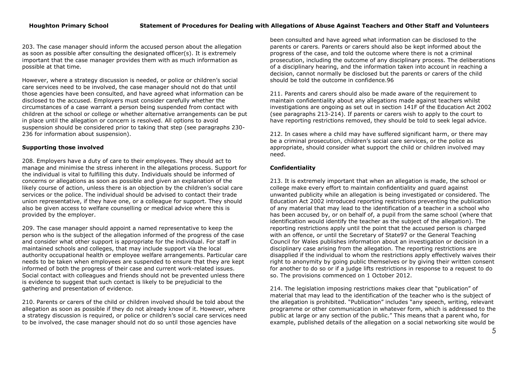203. The case manager should inform the accused person about the allegation as soon as possible after consulting the designated officer(s). It is extremely important that the case manager provides them with as much information as possible at that time.

However, where a strategy discussion is needed, or police or children's social care services need to be involved, the case manager should not do that until those agencies have been consulted, and have agreed what information can be disclosed to the accused. Employers must consider carefully whether the circumstances of a case warrant a person being suspended from contact with children at the school or college or whether alternative arrangements can be put in place until the allegation or concern is resolved. All options to avoid suspension should be considered prior to taking that step (see paragraphs 230- 236 for information about suspension).

## **Supporting those involved**

208. Employers have a duty of care to their employees. They should act to manage and minimise the stress inherent in the allegations process. Support for the individual is vital to fulfilling this duty. Individuals should be informed of concerns or allegations as soon as possible and given an explanation of the likely course of action, unless there is an objection by the children's social care services or the police. The individual should be advised to contact their trade union representative, if they have one, or a colleague for support. They should also be given access to welfare counselling or medical advice where this is provided by the employer.

209. The case manager should appoint a named representative to keep the person who is the subject of the allegation informed of the progress of the case and consider what other support is appropriate for the individual. For staff in maintained schools and colleges, that may include support via the local authority occupational health or employee welfare arrangements. Particular care needs to be taken when employees are suspended to ensure that they are kept informed of both the progress of their case and current work-related issues. Social contact with colleagues and friends should not be prevented unless there is evidence to suggest that such contact is likely to be prejudicial to the gathering and presentation of evidence.

210. Parents or carers of the child or children involved should be told about the allegation as soon as possible if they do not already know of it. However, where a strategy discussion is required, or police or children's social care services need to be involved, the case manager should not do so until those agencies have

been consulted and have agreed what information can be disclosed to the parents or carers. Parents or carers should also be kept informed about the progress of the case, and told the outcome where there is not a criminal prosecution, including the outcome of any disciplinary process. The deliberations of a disciplinary hearing, and the information taken into account in reaching a decision, cannot normally be disclosed but the parents or carers of the child should be told the outcome in confidence.96

211. Parents and carers should also be made aware of the requirement to maintain confidentiality about any allegations made against teachers whilst investigations are ongoing as set out in section 141F of the Education Act 2002 (see paragraphs 213-214). If parents or carers wish to apply to the court to have reporting restrictions removed, they should be told to seek legal advice.

212. In cases where a child may have suffered significant harm, or there may be a criminal prosecution, children's social care services, or the police as appropriate, should consider what support the child or children involved may need.

# **Confidentiality**

213. It is extremely important that when an allegation is made, the school or college make every effort to maintain confidentiality and guard against unwanted publicity while an allegation is being investigated or considered. The Education Act 2002 introduced reporting restrictions preventing the publication of any material that may lead to the identification of a teacher in a school who has been accused by, or on behalf of, a pupil from the same school (where that identification would identify the teacher as the subject of the allegation). The reporting restrictions apply until the point that the accused person is charged with an offence, or until the Secretary of State97 or the General Teaching Council for Wales publishes information about an investigation or decision in a disciplinary case arising from the allegation. The reporting restrictions are disapplied if the individual to whom the restrictions apply effectively waives their right to anonymity by going public themselves or by giving their written consent for another to do so or if a judge lifts restrictions in response to a request to do so. The provisions commenced on 1 October 2012.

214. The legislation imposing restrictions makes clear that "publication" of material that may lead to the identification of the teacher who is the subject of the allegation is prohibited. "Publication" includes "any speech, writing, relevant programme or other communication in whatever form, which is addressed to the public at large or any section of the public." This means that a parent who, for example, published details of the allegation on a social networking site would be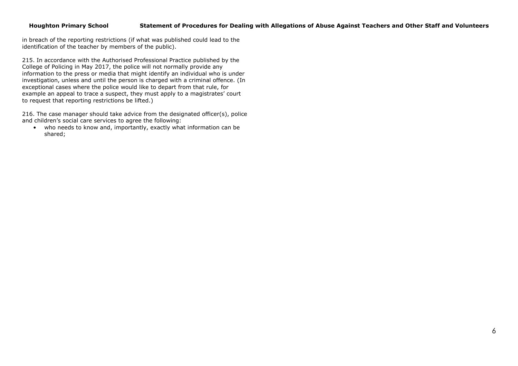#### **Houghton Primary School Statement of Procedures for Dealing with Allegations of Abuse Against Teachers and Other Staff and Volunteers**

in breach of the reporting restrictions (if what was published could lead to the identification of the teacher by members of the public).

215. In accordance with the Authorised Professional Practice published by the College of Policing in May 2017, the police will not normally provide any information to the press or media that might identify an individual who is under investigation, unless and until the person is charged with a criminal offence. (In exceptional cases where the police would like to depart from that rule, for example an appeal to trace a suspect, they must apply to a magistrates' court to request that reporting restrictions be lifted.)

216. The case manager should take advice from the designated officer(s), police and children's social care services to agree the following:

• who needs to know and, importantly, exactly what information can be shared;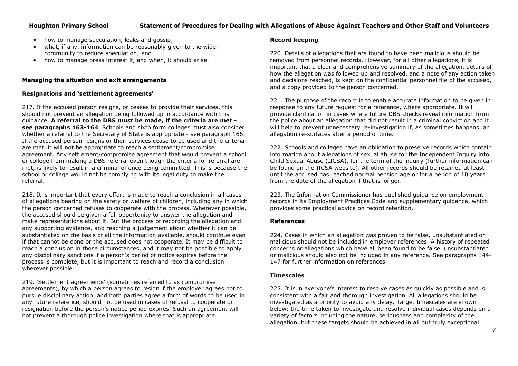- how to manage speculation, leaks and gossip;
- what, if any, information can be reasonably given to the wider community to reduce speculation; and
- how to manage press interest if, and when, it should arise.

## **Managing the situation and exit arrangements**

## **Resignations and 'settlement agreements'**

217. If the accused person resigns, or ceases to provide their services, this should not prevent an allegation being followed up in accordance with this guidance. **A referral to the DBS** *must* **be made, if the criteria are met see paragraphs 163-164**. Schools and sixth form colleges must also consider whether a referral to the Secretary of State is appropriate - see paragraph 166. If the accused person resigns or their services cease to be used and the criteria are met, it will not be appropriate to reach a settlement/compromise agreement. Any settlement/compromise agreement that would prevent a school or college from making a DBS referral even though the criteria for referral are met, is likely to result in a criminal offence being committed. This is because the school or college would not be complying with its legal duty to make the referral.

218. It is important that every effort is made to reach a conclusion in all cases of allegations bearing on the safety or welfare of children, including any in which the person concerned refuses to cooperate with the process. Wherever possible, the accused should be given a full opportunity to answer the allegation and make representations about it. But the process of recording the allegation and any supporting evidence, and reaching a judgement about whether it can be substantiated on the basis of all the information available, should continue even if that cannot be done or the accused does not cooperate. It may be difficult to reach a conclusion in those circumstances, and it may not be possible to apply any disciplinary sanctions if a person's period of notice expires before the process is complete, but it is important to reach and record a conclusion wherever possible.

219. 'Settlement agreements' (sometimes referred to as compromise agreements), by which a person agrees to resign if the employer agrees not to pursue disciplinary action, and both parties agree a form of words to be used in any future reference, should not be used in cases of refusal to cooperate or resignation before the person's notice period expires. Such an agreement will not prevent a thorough police investigation where that is appropriate.

### **Record keeping**

220. Details of allegations that are found to have been malicious should be removed from personnel records. However, for all other allegations, it is important that a clear and comprehensive summary of the allegation, details of how the allegation was followed up and resolved, and a note of any action taken and decisions reached, is kept on the confidential personnel file of the accused, and a copy provided to the person concerned.

221. The purpose of the record is to enable accurate information to be given in response to any future request for a reference, where appropriate. It will provide clarification in cases where future DBS checks reveal information from the police about an allegation that did not result in a criminal conviction and it will help to prevent unnecessary re-investigation if, as sometimes happens, an allegation re-surfaces after a period of time.

222. Schools and colleges have an obligation to preserve records which contain information about allegations of sexual abuse for the Independent Inquiry into Child Sexual Abuse (IICSA), for the term of the inquiry (further information can be found on the IICSA website). All other records should be retained at least until the accused has reached normal pension age or for a period of 10 years from the date of the allegation if that is longer.

223. The Information Commissioner has published guidance on employment records in its Employment Practices Code and supplementary guidance, which provides some practical advice on record retention.

## **References**

224. Cases in which an allegation was proven to be false, unsubstantiated or malicious should not be included in employer references. A history of repeated concerns or allegations which have all been found to be false, unsubstantiated or malicious should also not be included in any reference. See paragraphs 144- 147 for further information on references.

## **Timescales**

225. It is in everyone's interest to resolve cases as quickly as possible and is consistent with a fair and thorough investigation. All allegations should be investigated as a priority to avoid any delay. Target timescales are shown below: the time taken to investigate and resolve individual cases depends on a variety of factors including the nature, seriousness and complexity of the allegation, but these targets should be achieved in all but truly exceptional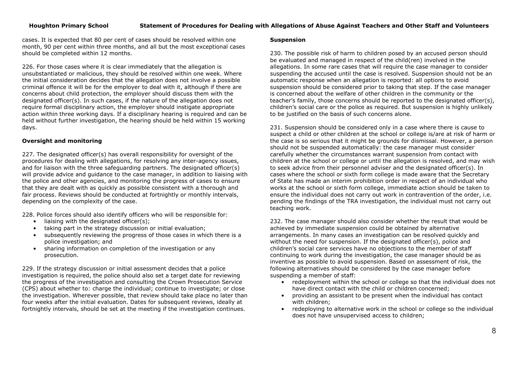cases. It is expected that 80 per cent of cases should be resolved within one month, 90 per cent within three months, and all but the most exceptional cases should be completed within 12 months.

226. For those cases where it is clear immediately that the allegation is unsubstantiated or malicious, they should be resolved within one week. Where the initial consideration decides that the allegation does not involve a possible criminal offence it will be for the employer to deal with it, although if there are concerns about child protection, the employer should discuss them with the designated officer(s). In such cases, if the nature of the allegation does not require formal disciplinary action, the employer should instigate appropriate action within three working days. If a disciplinary hearing is required and can be held without further investigation, the hearing should be held within 15 working days.

## **Oversight and monitoring**

227. The designated officer(s) has overall responsibility for oversight of the procedures for dealing with allegations, for resolving any inter-agency issues, and for liaison with the three safeguarding partners. The designated officer(s) will provide advice and guidance to the case manager, in addition to liaising with the police and other agencies, and monitoring the progress of cases to ensure that they are dealt with as quickly as possible consistent with a thorough and fair process. Reviews should be conducted at fortnightly or monthly intervals, depending on the complexity of the case.

228. Police forces should also identify officers who will be responsible for:

- liaising with the designated officer(s);
- taking part in the strategy discussion or initial evaluation:
- subsequently reviewing the progress of those cases in which there is a police investigation; and
- sharing information on completion of the investigation or any prosecution.

229. If the strategy discussion or initial assessment decides that a police investigation is required, the police should also set a target date for reviewing the progress of the investigation and consulting the Crown Prosecution Service (CPS) about whether to: charge the individual; continue to investigate; or close the investigation. Wherever possible, that review should take place no later than four weeks after the initial evaluation. Dates for subsequent reviews, ideally at fortnightly intervals, should be set at the meeting if the investigation continues.

#### **Suspension**

230. The possible risk of harm to children posed by an accused person should be evaluated and managed in respect of the child(ren) involved in the allegations. In some rare cases that will require the case manager to consider suspending the accused until the case is resolved. Suspension should not be an automatic response when an allegation is reported: all options to avoid suspension should be considered prior to taking that step. If the case manager is concerned about the welfare of other children in the community or the teacher's family, those concerns should be reported to the designated officer(s), children's social care or the police as required. But suspension is highly unlikely to be justified on the basis of such concerns alone.

231. Suspension should be considered only in a case where there is cause to suspect a child or other children at the school or college is/are at risk of harm or the case is so serious that it might be grounds for dismissal. However, a person should not be suspended automatically: the case manager must consider carefully whether the circumstances warrant suspension from contact with children at the school or college or until the allegation is resolved, and may wish to seek advice from their personnel adviser and the designated officer(s). In cases where the school or sixth form college is made aware that the Secretary of State has made an interim prohibition order in respect of an individual who works at the school or sixth form college, immediate action should be taken to ensure the individual does not carry out work in contravention of the order, i.e. pending the findings of the TRA investigation, the individual must not carry out teaching work.

232. The case manager should also consider whether the result that would be achieved by immediate suspension could be obtained by alternative arrangements. In many cases an investigation can be resolved quickly and without the need for suspension. If the designated officer(s), police and children's social care services have no objections to the member of staff continuing to work during the investigation, the case manager should be as inventive as possible to avoid suspension. Based on assessment of risk, the following alternatives should be considered by the case manager before suspending a member of staff:

- redeployment within the school or college so that the individual does not have direct contact with the child or children concerned;
- providing an assistant to be present when the individual has contact with children;
- redeploying to alternative work in the school or college so the individual does not have unsupervised access to children;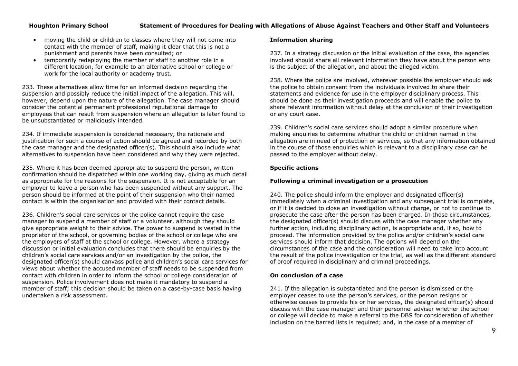- moving the child or children to classes where they will not come into contact with the member of staff, making it clear that this is not a punishment and parents have been consulted; or
- temporarily redeploying the member of staff to another role in a different location, for example to an alternative school or college or work for the local authority or academy trust.

233. These alternatives allow time for an informed decision regarding the suspension and possibly reduce the initial impact of the allegation. This will, however, depend upon the nature of the allegation. The case manager should consider the potential permanent professional reputational damage to employees that can result from suspension where an allegation is later found to be unsubstantiated or maliciously intended.

234. If immediate suspension is considered necessary, the rationale and justification for such a course of action should be agreed and recorded by both the case manager and the designated officer(s). This should also include what alternatives to suspension have been considered and why they were rejected.

235. Where it has been deemed appropriate to suspend the person, written confirmation should be dispatched within one working day, giving as much detail as appropriate for the reasons for the suspension. It is not acceptable for an employer to leave a person who has been suspended without any support. The person should be informed at the point of their suspension who their named contact is within the organisation and provided with their contact details.

236. Children's social care services or the police cannot require the case manager to suspend a member of staff or a volunteer, although they should give appropriate weight to their advice. The power to suspend is vested in the proprietor of the school, or governing bodies of the school or college who are the employers of staff at the school or college. However, where a strategy discussion or initial evaluation concludes that there should be enquiries by the children's social care services and/or an investigation by the police, the designated officer(s) should canvass police and children's social care services for views about whether the accused member of staff needs to be suspended from contact with children in order to inform the school or college consideration of suspension. Police involvement does not make it mandatory to suspend a member of staff; this decision should be taken on a case-by-case basis having undertaken a risk assessment.

#### **Information sharing**

237. In a strategy discussion or the initial evaluation of the case, the agencies involved should share all relevant information they have about the person who is the subject of the allegation, and about the alleged victim.

238. Where the police are involved, wherever possible the employer should ask the police to obtain consent from the individuals involved to share their statements and evidence for use in the employer disciplinary process. This should be done as their investigation proceeds and will enable the police to share relevant information without delay at the conclusion of their investigation or any court case.

239. Children's social care services should adopt a similar procedure when making enquiries to determine whether the child or children named in the allegation are in need of protection or services, so that any information obtained in the course of those enquiries which is relevant to a disciplinary case can be passed to the employer without delay.

## **Specific actions**

## **Following a criminal investigation or a prosecution**

240. The police should inform the employer and designated officer(s) immediately when a criminal investigation and any subsequent trial is complete, or if it is decided to close an investigation without charge, or not to continue to prosecute the case after the person has been charged. In those circumstances, the designated officer(s) should discuss with the case manager whether any further action, including disciplinary action, is appropriate and, if so, how to proceed. The information provided by the police and/or children's social care services should inform that decision. The options will depend on the circumstances of the case and the consideration will need to take into account the result of the police investigation or the trial, as well as the different standard of proof required in disciplinary and criminal proceedings.

#### **On conclusion of a case**

241. If the allegation is substantiated and the person is dismissed or the employer ceases to use the person's services, or the person resigns or otherwise ceases to provide his or her services, the designated officer(s) should discuss with the case manager and their personnel adviser whether the school or college will decide to make a referral to the DBS for consideration of whether inclusion on the barred lists is required; and, in the case of a member of